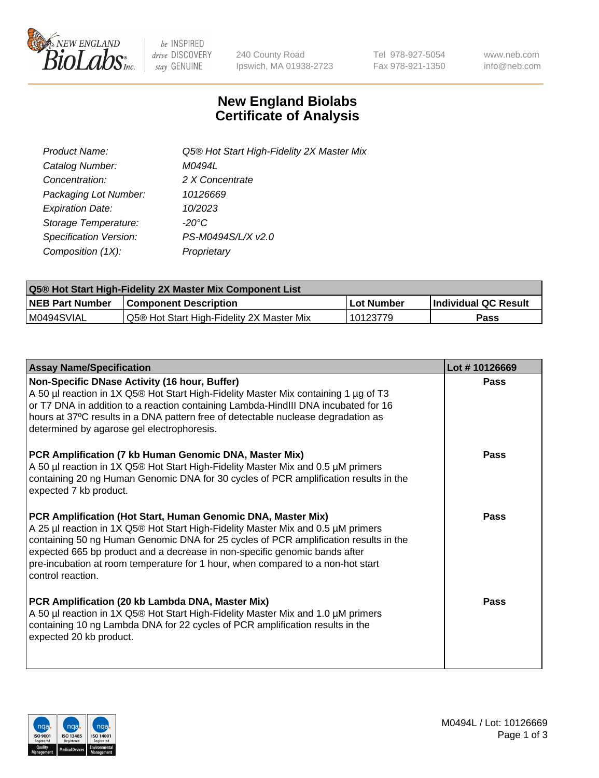

be INSPIRED drive DISCOVERY stay GENUINE

240 County Road Ipswich, MA 01938-2723 Tel 978-927-5054 Fax 978-921-1350 www.neb.com info@neb.com

## **New England Biolabs Certificate of Analysis**

| Product Name:           | Q5® Hot Start High-Fidelity 2X Master Mix |
|-------------------------|-------------------------------------------|
| Catalog Number:         | M0494L                                    |
| Concentration:          | 2 X Concentrate                           |
| Packaging Lot Number:   | 10126669                                  |
| <b>Expiration Date:</b> | 10/2023                                   |
| Storage Temperature:    | $-20^{\circ}$ C                           |
| Specification Version:  | PS-M0494S/L/X v2.0                        |
| Composition (1X):       | Proprietary                               |

| <b>Q5® Hot Start High-Fidelity 2X Master Mix Component List</b> |                                           |             |                      |  |  |
|-----------------------------------------------------------------|-------------------------------------------|-------------|----------------------|--|--|
| <b>NEB Part Number</b>                                          | Component Description_                    | ∣Lot Number | Individual QC Result |  |  |
| I M0494SVIAL                                                    | Q5® Hot Start High-Fidelity 2X Master Mix | 10123779    | Pass                 |  |  |

| <b>Assay Name/Specification</b>                                                                                                                                                                                                                                                                                                                                                                                                | Lot #10126669 |
|--------------------------------------------------------------------------------------------------------------------------------------------------------------------------------------------------------------------------------------------------------------------------------------------------------------------------------------------------------------------------------------------------------------------------------|---------------|
| Non-Specific DNase Activity (16 hour, Buffer)<br>A 50 µl reaction in 1X Q5® Hot Start High-Fidelity Master Mix containing 1 µg of T3<br>or T7 DNA in addition to a reaction containing Lambda-HindIII DNA incubated for 16<br>hours at 37°C results in a DNA pattern free of detectable nuclease degradation as<br>determined by agarose gel electrophoresis.                                                                  | Pass          |
| PCR Amplification (7 kb Human Genomic DNA, Master Mix)<br>A 50 µl reaction in 1X Q5® Hot Start High-Fidelity Master Mix and 0.5 µM primers<br>containing 20 ng Human Genomic DNA for 30 cycles of PCR amplification results in the<br>expected 7 kb product.                                                                                                                                                                   | Pass          |
| PCR Amplification (Hot Start, Human Genomic DNA, Master Mix)<br>A 25 µl reaction in 1X Q5® Hot Start High-Fidelity Master Mix and 0.5 µM primers<br>containing 50 ng Human Genomic DNA for 25 cycles of PCR amplification results in the<br>expected 665 bp product and a decrease in non-specific genomic bands after<br>pre-incubation at room temperature for 1 hour, when compared to a non-hot start<br>control reaction. | Pass          |
| PCR Amplification (20 kb Lambda DNA, Master Mix)<br>A 50 µl reaction in 1X Q5® Hot Start High-Fidelity Master Mix and 1.0 µM primers<br>containing 10 ng Lambda DNA for 22 cycles of PCR amplification results in the<br>expected 20 kb product.                                                                                                                                                                               | Pass          |

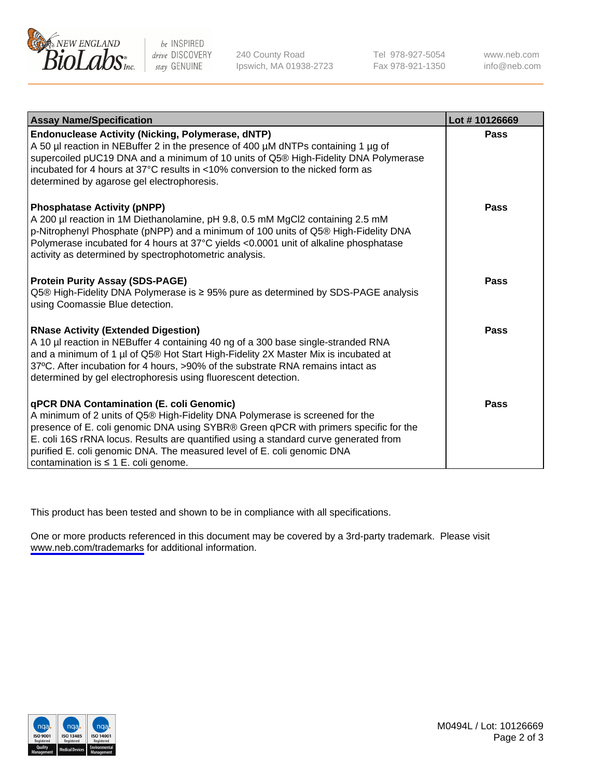

be INSPIRED drive DISCOVERY stay GENUINE

240 County Road Ipswich, MA 01938-2723 Tel 978-927-5054 Fax 978-921-1350

www.neb.com info@neb.com

| <b>Assay Name/Specification</b>                                                                                                                                                                                                                                                                                                                                                                                                         | Lot #10126669 |
|-----------------------------------------------------------------------------------------------------------------------------------------------------------------------------------------------------------------------------------------------------------------------------------------------------------------------------------------------------------------------------------------------------------------------------------------|---------------|
| <b>Endonuclease Activity (Nicking, Polymerase, dNTP)</b><br>A 50 µl reaction in NEBuffer 2 in the presence of 400 µM dNTPs containing 1 µg of<br>supercoiled pUC19 DNA and a minimum of 10 units of Q5® High-Fidelity DNA Polymerase<br>incubated for 4 hours at 37°C results in <10% conversion to the nicked form as<br>determined by agarose gel electrophoresis.                                                                    | Pass          |
| <b>Phosphatase Activity (pNPP)</b><br>A 200 µl reaction in 1M Diethanolamine, pH 9.8, 0.5 mM MgCl2 containing 2.5 mM<br>p-Nitrophenyl Phosphate (pNPP) and a minimum of 100 units of Q5® High-Fidelity DNA<br>Polymerase incubated for 4 hours at 37°C yields <0.0001 unit of alkaline phosphatase<br>activity as determined by spectrophotometric analysis.                                                                            | <b>Pass</b>   |
| <b>Protein Purity Assay (SDS-PAGE)</b><br>Q5® High-Fidelity DNA Polymerase is ≥ 95% pure as determined by SDS-PAGE analysis<br>using Coomassie Blue detection.                                                                                                                                                                                                                                                                          | Pass          |
| <b>RNase Activity (Extended Digestion)</b><br>A 10 µl reaction in NEBuffer 4 containing 40 ng of a 300 base single-stranded RNA<br>and a minimum of 1 µl of Q5® Hot Start High-Fidelity 2X Master Mix is incubated at<br>37°C. After incubation for 4 hours, >90% of the substrate RNA remains intact as<br>determined by gel electrophoresis using fluorescent detection.                                                              | Pass          |
| <b>qPCR DNA Contamination (E. coli Genomic)</b><br>A minimum of 2 units of Q5® High-Fidelity DNA Polymerase is screened for the<br>presence of E. coli genomic DNA using SYBR® Green qPCR with primers specific for the<br>E. coli 16S rRNA locus. Results are quantified using a standard curve generated from<br>purified E. coli genomic DNA. The measured level of E. coli genomic DNA<br>contamination is $\leq 1$ E. coli genome. | Pass          |

This product has been tested and shown to be in compliance with all specifications.

One or more products referenced in this document may be covered by a 3rd-party trademark. Please visit <www.neb.com/trademarks>for additional information.